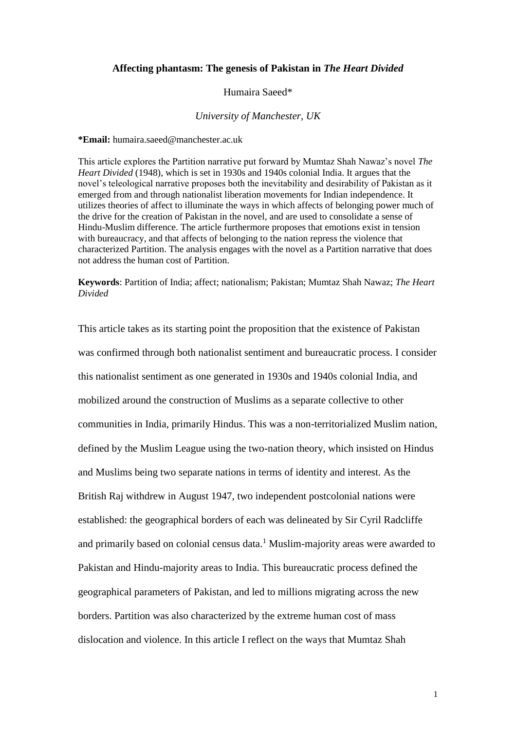# **Affecting phantasm: The genesis of Pakistan in** *The Heart Divided*

## Humaira Saeed\*

### *University of Manchester, UK*

**\*Email:** humaira.saeed@manchester.ac.uk

This article explores the Partition narrative put forward by Mumtaz Shah Nawaz's novel *The Heart Divided* (1948), which is set in 1930s and 1940s colonial India. It argues that the novel's teleological narrative proposes both the inevitability and desirability of Pakistan as it emerged from and through nationalist liberation movements for Indian independence. It utilizes theories of affect to illuminate the ways in which affects of belonging power much of the drive for the creation of Pakistan in the novel, and are used to consolidate a sense of Hindu-Muslim difference. The article furthermore proposes that emotions exist in tension with bureaucracy, and that affects of belonging to the nation repress the violence that characterized Partition. The analysis engages with the novel as a Partition narrative that does not address the human cost of Partition.

**Keywords**: Partition of India; affect; nationalism; Pakistan; Mumtaz Shah Nawaz; *The Heart Divided*

This article takes as its starting point the proposition that the existence of Pakistan was confirmed through both nationalist sentiment and bureaucratic process. I consider this nationalist sentiment as one generated in 1930s and 1940s colonial India, and mobilized around the construction of Muslims as a separate collective to other communities in India, primarily Hindus. This was a non-territorialized Muslim nation, defined by the Muslim League using the two-nation theory, which insisted on Hindus and Muslims being two separate nations in terms of identity and interest. As the British Raj withdrew in August 1947, two independent postcolonial nations were established: the geographical borders of each was delineated by Sir Cyril Radcliffe and primarily based on colonial census data.<sup>1</sup> Muslim-majority areas were awarded to Pakistan and Hindu-majority areas to India. This bureaucratic process defined the geographical parameters of Pakistan, and led to millions migrating across the new borders. Partition was also characterized by the extreme human cost of mass dislocation and violence. In this article I reflect on the ways that Mumtaz Shah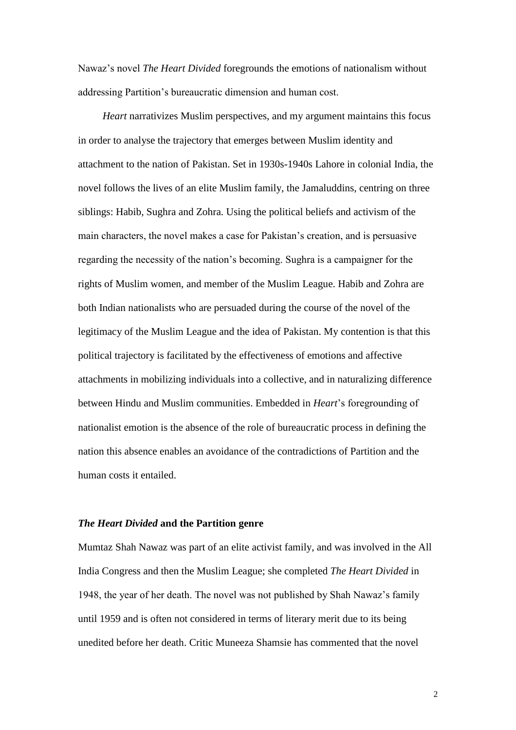Nawaz's novel *The Heart Divided* foregrounds the emotions of nationalism without addressing Partition's bureaucratic dimension and human cost.

*Heart* narrativizes Muslim perspectives, and my argument maintains this focus in order to analyse the trajectory that emerges between Muslim identity and attachment to the nation of Pakistan. Set in 1930s-1940s Lahore in colonial India, the novel follows the lives of an elite Muslim family, the Jamaluddins, centring on three siblings: Habib, Sughra and Zohra. Using the political beliefs and activism of the main characters, the novel makes a case for Pakistan's creation, and is persuasive regarding the necessity of the nation's becoming. Sughra is a campaigner for the rights of Muslim women, and member of the Muslim League. Habib and Zohra are both Indian nationalists who are persuaded during the course of the novel of the legitimacy of the Muslim League and the idea of Pakistan. My contention is that this political trajectory is facilitated by the effectiveness of emotions and affective attachments in mobilizing individuals into a collective, and in naturalizing difference between Hindu and Muslim communities. Embedded in *Heart*'s foregrounding of nationalist emotion is the absence of the role of bureaucratic process in defining the nation this absence enables an avoidance of the contradictions of Partition and the human costs it entailed.

### *The Heart Divided* **and the Partition genre**

Mumtaz Shah Nawaz was part of an elite activist family, and was involved in the All India Congress and then the Muslim League; she completed *The Heart Divided* in 1948, the year of her death. The novel was not published by Shah Nawaz's family until 1959 and is often not considered in terms of literary merit due to its being unedited before her death. Critic Muneeza Shamsie has commented that the novel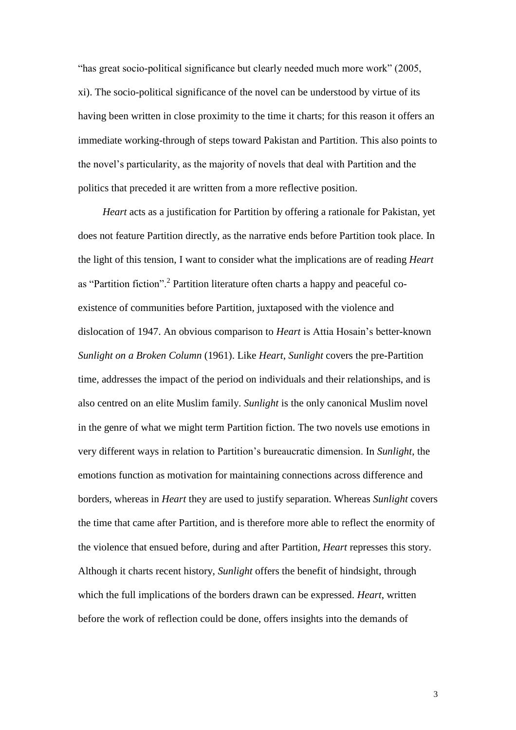"has great socio-political significance but clearly needed much more work" (2005, xi). The socio-political significance of the novel can be understood by virtue of its having been written in close proximity to the time it charts; for this reason it offers an immediate working-through of steps toward Pakistan and Partition. This also points to the novel's particularity, as the majority of novels that deal with Partition and the politics that preceded it are written from a more reflective position.

*Heart* acts as a justification for Partition by offering a rationale for Pakistan, yet does not feature Partition directly, as the narrative ends before Partition took place. In the light of this tension, I want to consider what the implications are of reading *Heart* as "Partition fiction".<sup>2</sup> Partition literature often charts a happy and peaceful coexistence of communities before Partition, juxtaposed with the violence and dislocation of 1947. An obvious comparison to *Heart* is Attia Hosain's better-known *Sunlight on a Broken Column* (1961). Like *Heart*, *Sunlight* covers the pre-Partition time, addresses the impact of the period on individuals and their relationships, and is also centred on an elite Muslim family. *Sunlight* is the only canonical Muslim novel in the genre of what we might term Partition fiction. The two novels use emotions in very different ways in relation to Partition's bureaucratic dimension. In *Sunlight*, the emotions function as motivation for maintaining connections across difference and borders, whereas in *Heart* they are used to justify separation. Whereas *Sunlight* covers the time that came after Partition, and is therefore more able to reflect the enormity of the violence that ensued before, during and after Partition, *Heart* represses this story. Although it charts recent history, *Sunlight* offers the benefit of hindsight, through which the full implications of the borders drawn can be expressed. *Heart*, written before the work of reflection could be done, offers insights into the demands of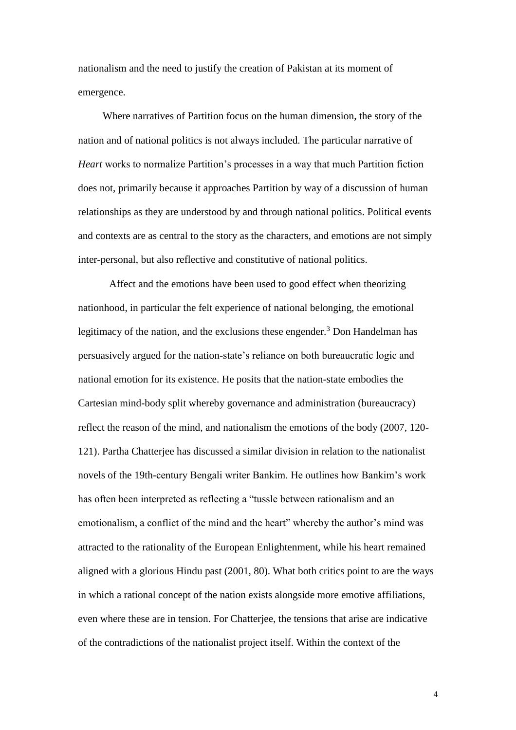nationalism and the need to justify the creation of Pakistan at its moment of emergence.

Where narratives of Partition focus on the human dimension, the story of the nation and of national politics is not always included. The particular narrative of *Heart* works to normalize Partition's processes in a way that much Partition fiction does not, primarily because it approaches Partition by way of a discussion of human relationships as they are understood by and through national politics. Political events and contexts are as central to the story as the characters, and emotions are not simply inter-personal, but also reflective and constitutive of national politics.

Affect and the emotions have been used to good effect when theorizing nationhood, in particular the felt experience of national belonging, the emotional legitimacy of the nation, and the exclusions these engender.<sup>3</sup> Don Handelman has persuasively argued for the nation-state's reliance on both bureaucratic logic and national emotion for its existence. He posits that the nation-state embodies the Cartesian mind-body split whereby governance and administration (bureaucracy) reflect the reason of the mind, and nationalism the emotions of the body (2007, 120- 121). Partha Chatterjee has discussed a similar division in relation to the nationalist novels of the 19th-century Bengali writer Bankim. He outlines how Bankim's work has often been interpreted as reflecting a "tussle between rationalism and an emotionalism, a conflict of the mind and the heart" whereby the author's mind was attracted to the rationality of the European Enlightenment, while his heart remained aligned with a glorious Hindu past (2001, 80). What both critics point to are the ways in which a rational concept of the nation exists alongside more emotive affiliations, even where these are in tension. For Chatterjee, the tensions that arise are indicative of the contradictions of the nationalist project itself. Within the context of the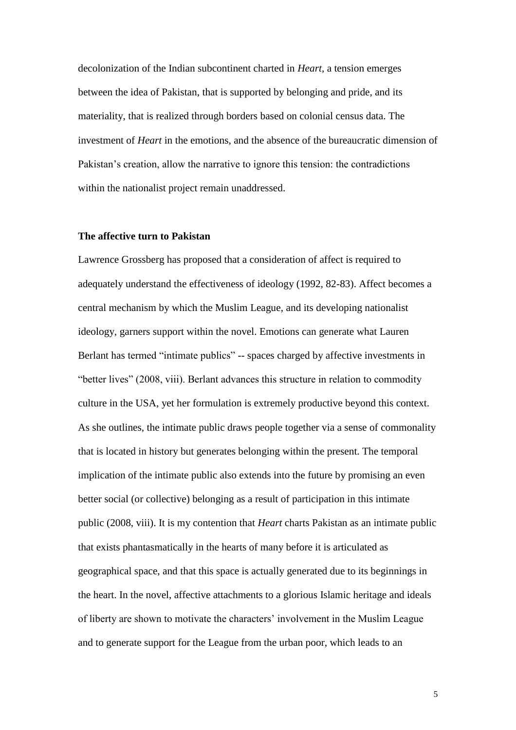decolonization of the Indian subcontinent charted in *Heart*, a tension emerges between the idea of Pakistan, that is supported by belonging and pride, and its materiality, that is realized through borders based on colonial census data. The investment of *Heart* in the emotions, and the absence of the bureaucratic dimension of Pakistan's creation, allow the narrative to ignore this tension: the contradictions within the nationalist project remain unaddressed.

## **The affective turn to Pakistan**

Lawrence Grossberg has proposed that a consideration of affect is required to adequately understand the effectiveness of ideology (1992, 82-83). Affect becomes a central mechanism by which the Muslim League, and its developing nationalist ideology, garners support within the novel. Emotions can generate what Lauren Berlant has termed "intimate publics" -- spaces charged by affective investments in "better lives" (2008, viii). Berlant advances this structure in relation to commodity culture in the USA, yet her formulation is extremely productive beyond this context. As she outlines, the intimate public draws people together via a sense of commonality that is located in history but generates belonging within the present. The temporal implication of the intimate public also extends into the future by promising an even better social (or collective) belonging as a result of participation in this intimate public (2008, viii). It is my contention that *Heart* charts Pakistan as an intimate public that exists phantasmatically in the hearts of many before it is articulated as geographical space, and that this space is actually generated due to its beginnings in the heart. In the novel, affective attachments to a glorious Islamic heritage and ideals of liberty are shown to motivate the characters' involvement in the Muslim League and to generate support for the League from the urban poor, which leads to an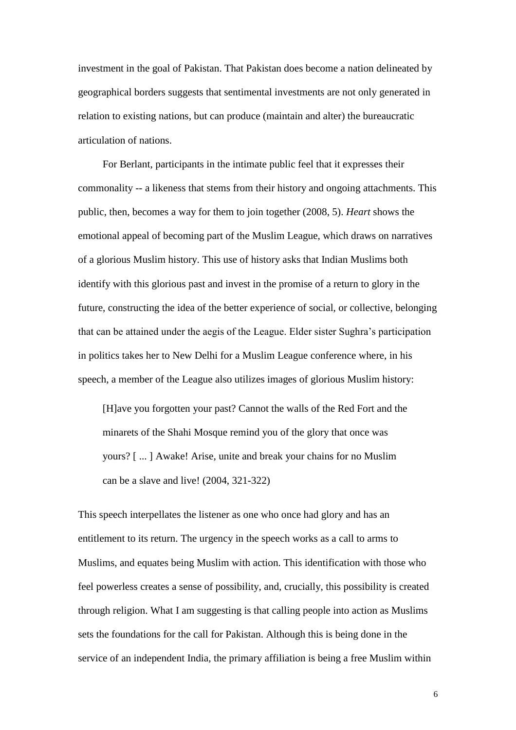investment in the goal of Pakistan. That Pakistan does become a nation delineated by geographical borders suggests that sentimental investments are not only generated in relation to existing nations, but can produce (maintain and alter) the bureaucratic articulation of nations.

For Berlant, participants in the intimate public feel that it expresses their commonality -- a likeness that stems from their history and ongoing attachments. This public, then, becomes a way for them to join together (2008, 5). *Heart* shows the emotional appeal of becoming part of the Muslim League, which draws on narratives of a glorious Muslim history. This use of history asks that Indian Muslims both identify with this glorious past and invest in the promise of a return to glory in the future, constructing the idea of the better experience of social, or collective, belonging that can be attained under the aegis of the League. Elder sister Sughra's participation in politics takes her to New Delhi for a Muslim League conference where, in his speech, a member of the League also utilizes images of glorious Muslim history:

[H]ave you forgotten your past? Cannot the walls of the Red Fort and the minarets of the Shahi Mosque remind you of the glory that once was yours? [ ... ] Awake! Arise, unite and break your chains for no Muslim can be a slave and live! (2004, 321-322)

This speech interpellates the listener as one who once had glory and has an entitlement to its return. The urgency in the speech works as a call to arms to Muslims, and equates being Muslim with action. This identification with those who feel powerless creates a sense of possibility, and, crucially, this possibility is created through religion. What I am suggesting is that calling people into action as Muslims sets the foundations for the call for Pakistan. Although this is being done in the service of an independent India, the primary affiliation is being a free Muslim within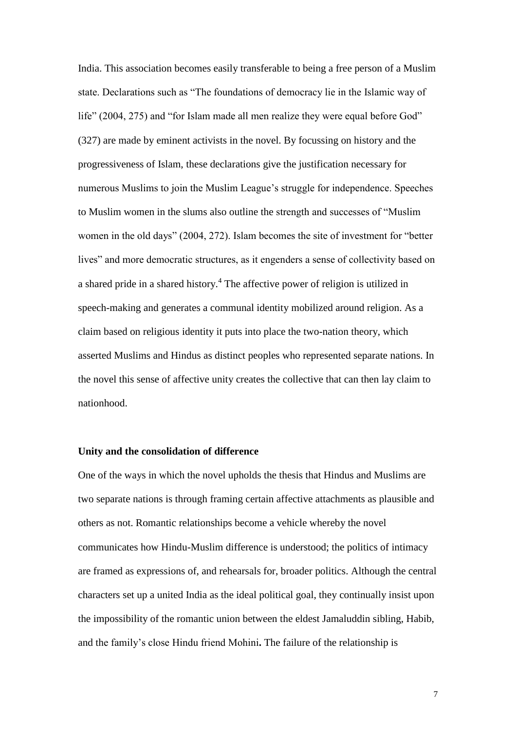India. This association becomes easily transferable to being a free person of a Muslim state. Declarations such as "The foundations of democracy lie in the Islamic way of life" (2004, 275) and "for Islam made all men realize they were equal before God" (327) are made by eminent activists in the novel. By focussing on history and the progressiveness of Islam, these declarations give the justification necessary for numerous Muslims to join the Muslim League's struggle for independence. Speeches to Muslim women in the slums also outline the strength and successes of "Muslim women in the old days" (2004, 272). Islam becomes the site of investment for "better lives" and more democratic structures, as it engenders a sense of collectivity based on a shared pride in a shared history.<sup>4</sup> The affective power of religion is utilized in speech-making and generates a communal identity mobilized around religion. As a claim based on religious identity it puts into place the two-nation theory, which asserted Muslims and Hindus as distinct peoples who represented separate nations. In the novel this sense of affective unity creates the collective that can then lay claim to nationhood.

# **Unity and the consolidation of difference**

One of the ways in which the novel upholds the thesis that Hindus and Muslims are two separate nations is through framing certain affective attachments as plausible and others as not. Romantic relationships become a vehicle whereby the novel communicates how Hindu-Muslim difference is understood; the politics of intimacy are framed as expressions of, and rehearsals for, broader politics. Although the central characters set up a united India as the ideal political goal, they continually insist upon the impossibility of the romantic union between the eldest Jamaluddin sibling, Habib, and the family's close Hindu friend Mohini**.** The failure of the relationship is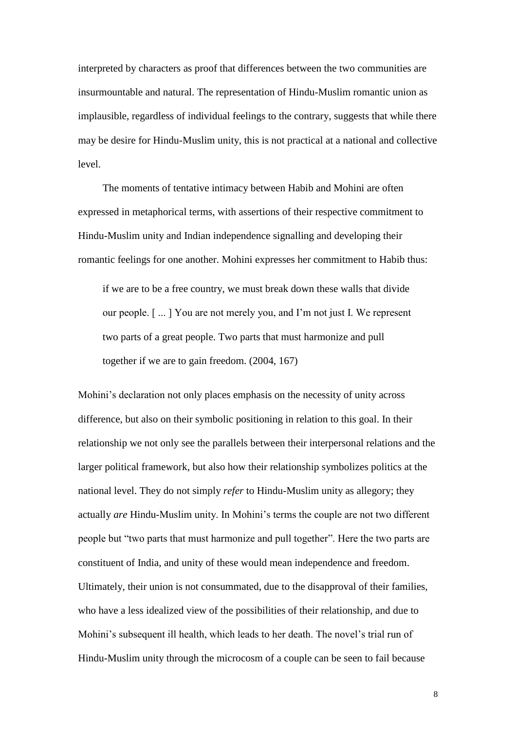interpreted by characters as proof that differences between the two communities are insurmountable and natural. The representation of Hindu-Muslim romantic union as implausible, regardless of individual feelings to the contrary, suggests that while there may be desire for Hindu-Muslim unity, this is not practical at a national and collective level.

The moments of tentative intimacy between Habib and Mohini are often expressed in metaphorical terms, with assertions of their respective commitment to Hindu-Muslim unity and Indian independence signalling and developing their romantic feelings for one another. Mohini expresses her commitment to Habib thus:

if we are to be a free country, we must break down these walls that divide our people. [ ... ] You are not merely you, and I'm not just I. We represent two parts of a great people. Two parts that must harmonize and pull together if we are to gain freedom. (2004, 167)

Mohini's declaration not only places emphasis on the necessity of unity across difference, but also on their symbolic positioning in relation to this goal. In their relationship we not only see the parallels between their interpersonal relations and the larger political framework, but also how their relationship symbolizes politics at the national level. They do not simply *refer* to Hindu-Muslim unity as allegory; they actually *are* Hindu-Muslim unity. In Mohini's terms the couple are not two different people but "two parts that must harmonize and pull together". Here the two parts are constituent of India, and unity of these would mean independence and freedom. Ultimately, their union is not consummated, due to the disapproval of their families, who have a less idealized view of the possibilities of their relationship, and due to Mohini's subsequent ill health, which leads to her death. The novel's trial run of Hindu-Muslim unity through the microcosm of a couple can be seen to fail because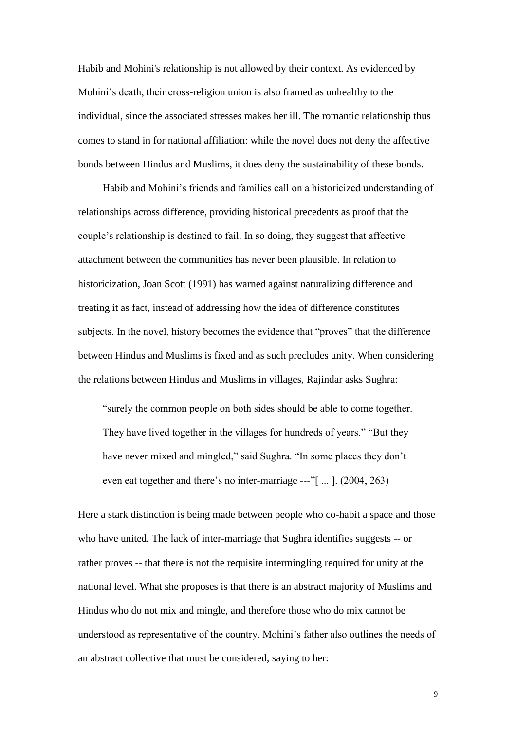Habib and Mohini's relationship is not allowed by their context. As evidenced by Mohini's death, their cross-religion union is also framed as unhealthy to the individual, since the associated stresses makes her ill. The romantic relationship thus comes to stand in for national affiliation: while the novel does not deny the affective bonds between Hindus and Muslims, it does deny the sustainability of these bonds.

Habib and Mohini's friends and families call on a historicized understanding of relationships across difference, providing historical precedents as proof that the couple's relationship is destined to fail. In so doing, they suggest that affective attachment between the communities has never been plausible. In relation to historicization, Joan Scott (1991) has warned against naturalizing difference and treating it as fact, instead of addressing how the idea of difference constitutes subjects. In the novel, history becomes the evidence that "proves" that the difference between Hindus and Muslims is fixed and as such precludes unity. When considering the relations between Hindus and Muslims in villages, Rajindar asks Sughra:

"surely the common people on both sides should be able to come together. They have lived together in the villages for hundreds of years." "But they have never mixed and mingled," said Sughra. "In some places they don't even eat together and there's no inter-marriage ---"[ ... ]. (2004, 263)

Here a stark distinction is being made between people who co-habit a space and those who have united. The lack of inter-marriage that Sughra identifies suggests -- or rather proves -- that there is not the requisite intermingling required for unity at the national level. What she proposes is that there is an abstract majority of Muslims and Hindus who do not mix and mingle, and therefore those who do mix cannot be understood as representative of the country. Mohini's father also outlines the needs of an abstract collective that must be considered, saying to her: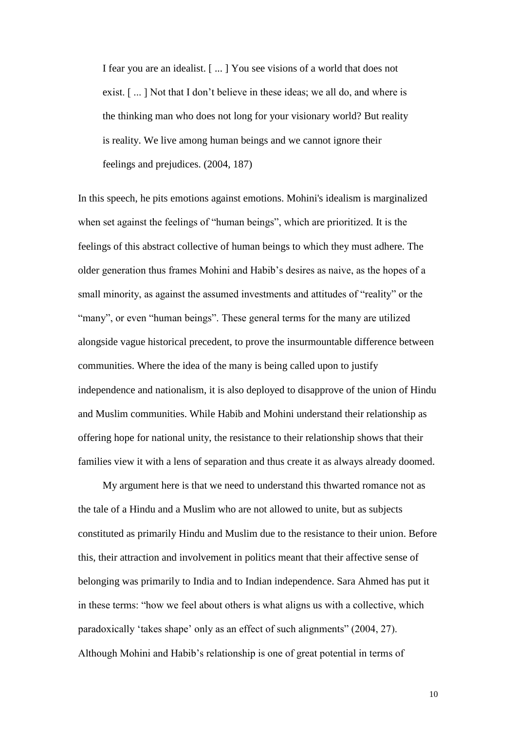I fear you are an idealist. [ ... ] You see visions of a world that does not exist. [ ... ] Not that I don't believe in these ideas; we all do, and where is the thinking man who does not long for your visionary world? But reality is reality. We live among human beings and we cannot ignore their feelings and prejudices. (2004, 187)

In this speech, he pits emotions against emotions. Mohini's idealism is marginalized when set against the feelings of "human beings", which are prioritized. It is the feelings of this abstract collective of human beings to which they must adhere. The older generation thus frames Mohini and Habib's desires as naive, as the hopes of a small minority, as against the assumed investments and attitudes of "reality" or the "many", or even "human beings". These general terms for the many are utilized alongside vague historical precedent, to prove the insurmountable difference between communities. Where the idea of the many is being called upon to justify independence and nationalism, it is also deployed to disapprove of the union of Hindu and Muslim communities. While Habib and Mohini understand their relationship as offering hope for national unity, the resistance to their relationship shows that their families view it with a lens of separation and thus create it as always already doomed.

My argument here is that we need to understand this thwarted romance not as the tale of a Hindu and a Muslim who are not allowed to unite, but as subjects constituted as primarily Hindu and Muslim due to the resistance to their union. Before this, their attraction and involvement in politics meant that their affective sense of belonging was primarily to India and to Indian independence. Sara Ahmed has put it in these terms: "how we feel about others is what aligns us with a collective, which paradoxically 'takes shape' only as an effect of such alignments" (2004, 27). Although Mohini and Habib's relationship is one of great potential in terms of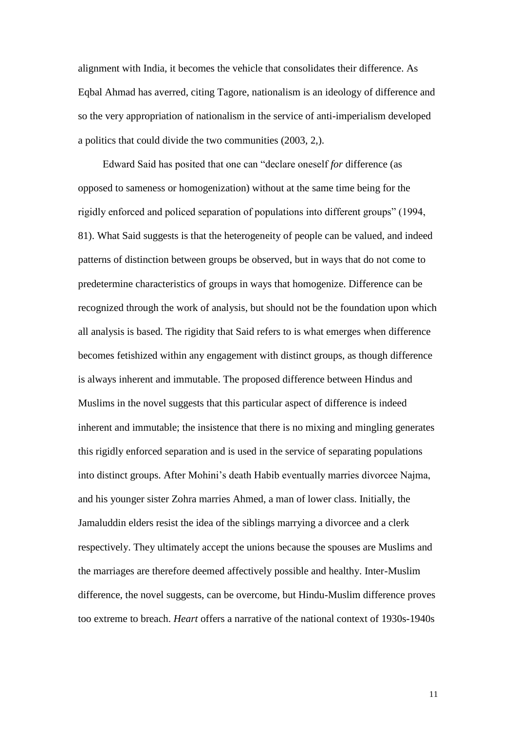alignment with India, it becomes the vehicle that consolidates their difference. As Eqbal Ahmad has averred, citing Tagore, nationalism is an ideology of difference and so the very appropriation of nationalism in the service of anti-imperialism developed a politics that could divide the two communities (2003, 2,).

Edward Said has posited that one can "declare oneself *for* difference (as opposed to sameness or homogenization) without at the same time being for the rigidly enforced and policed separation of populations into different groups" (1994, 81). What Said suggests is that the heterogeneity of people can be valued, and indeed patterns of distinction between groups be observed, but in ways that do not come to predetermine characteristics of groups in ways that homogenize. Difference can be recognized through the work of analysis, but should not be the foundation upon which all analysis is based. The rigidity that Said refers to is what emerges when difference becomes fetishized within any engagement with distinct groups, as though difference is always inherent and immutable. The proposed difference between Hindus and Muslims in the novel suggests that this particular aspect of difference is indeed inherent and immutable; the insistence that there is no mixing and mingling generates this rigidly enforced separation and is used in the service of separating populations into distinct groups. After Mohini's death Habib eventually marries divorcee Najma, and his younger sister Zohra marries Ahmed, a man of lower class. Initially, the Jamaluddin elders resist the idea of the siblings marrying a divorcee and a clerk respectively. They ultimately accept the unions because the spouses are Muslims and the marriages are therefore deemed affectively possible and healthy. Inter-Muslim difference, the novel suggests, can be overcome, but Hindu-Muslim difference proves too extreme to breach. *Heart* offers a narrative of the national context of 1930s-1940s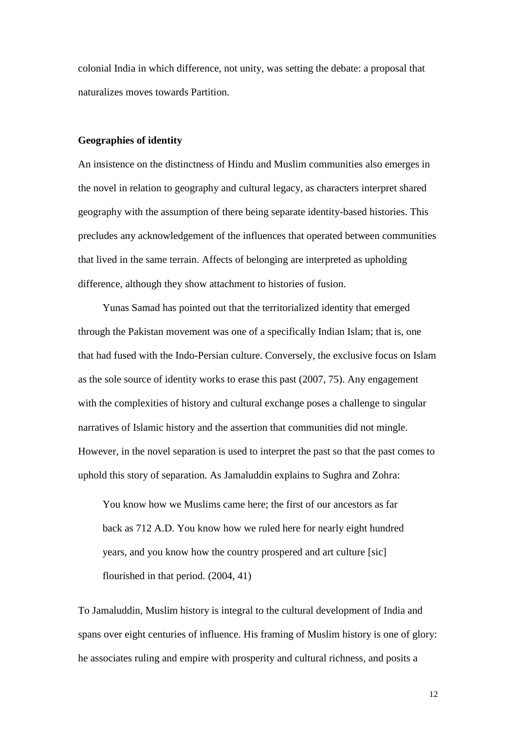colonial India in which difference, not unity, was setting the debate: a proposal that naturalizes moves towards Partition.

## **Geographies of identity**

An insistence on the distinctness of Hindu and Muslim communities also emerges in the novel in relation to geography and cultural legacy, as characters interpret shared geography with the assumption of there being separate identity-based histories. This precludes any acknowledgement of the influences that operated between communities that lived in the same terrain. Affects of belonging are interpreted as upholding difference, although they show attachment to histories of fusion.

Yunas Samad has pointed out that the territorialized identity that emerged through the Pakistan movement was one of a specifically Indian Islam; that is, one that had fused with the Indo-Persian culture. Conversely, the exclusive focus on Islam as the sole source of identity works to erase this past (2007, 75). Any engagement with the complexities of history and cultural exchange poses a challenge to singular narratives of Islamic history and the assertion that communities did not mingle. However, in the novel separation is used to interpret the past so that the past comes to uphold this story of separation. As Jamaluddin explains to Sughra and Zohra:

You know how we Muslims came here; the first of our ancestors as far back as 712 A.D. You know how we ruled here for nearly eight hundred years, and you know how the country prospered and art culture [sic] flourished in that period. (2004, 41)

To Jamaluddin, Muslim history is integral to the cultural development of India and spans over eight centuries of influence. His framing of Muslim history is one of glory: he associates ruling and empire with prosperity and cultural richness, and posits a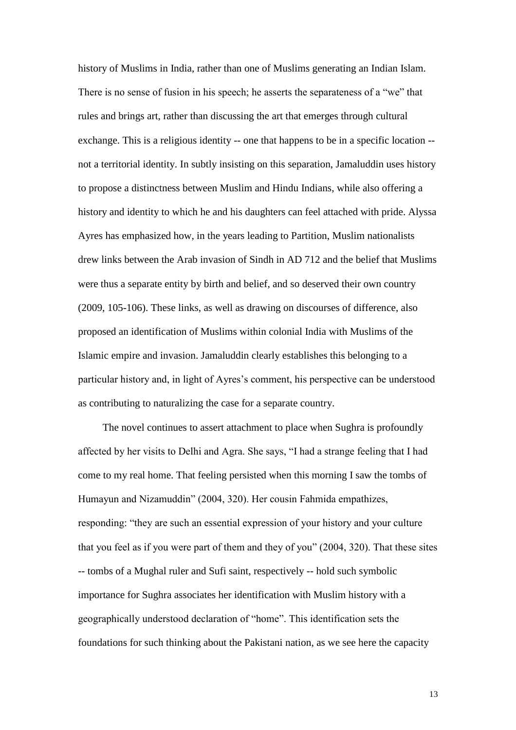history of Muslims in India, rather than one of Muslims generating an Indian Islam. There is no sense of fusion in his speech; he asserts the separateness of a "we" that rules and brings art, rather than discussing the art that emerges through cultural exchange. This is a religious identity -- one that happens to be in a specific location - not a territorial identity. In subtly insisting on this separation, Jamaluddin uses history to propose a distinctness between Muslim and Hindu Indians, while also offering a history and identity to which he and his daughters can feel attached with pride. Alyssa Ayres has emphasized how, in the years leading to Partition, Muslim nationalists drew links between the Arab invasion of Sindh in AD 712 and the belief that Muslims were thus a separate entity by birth and belief, and so deserved their own country (2009, 105-106). These links, as well as drawing on discourses of difference, also proposed an identification of Muslims within colonial India with Muslims of the Islamic empire and invasion. Jamaluddin clearly establishes this belonging to a particular history and, in light of Ayres's comment, his perspective can be understood as contributing to naturalizing the case for a separate country.

The novel continues to assert attachment to place when Sughra is profoundly affected by her visits to Delhi and Agra. She says, "I had a strange feeling that I had come to my real home. That feeling persisted when this morning I saw the tombs of Humayun and Nizamuddin" (2004, 320). Her cousin Fahmida empathizes, responding: "they are such an essential expression of your history and your culture that you feel as if you were part of them and they of you" (2004, 320). That these sites -- tombs of a Mughal ruler and Sufi saint, respectively -- hold such symbolic importance for Sughra associates her identification with Muslim history with a geographically understood declaration of "home". This identification sets the foundations for such thinking about the Pakistani nation, as we see here the capacity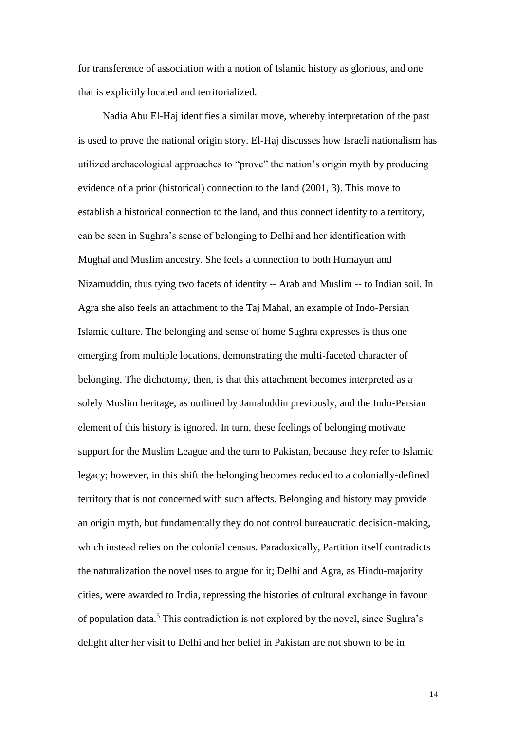for transference of association with a notion of Islamic history as glorious, and one that is explicitly located and territorialized.

Nadia Abu El-Haj identifies a similar move, whereby interpretation of the past is used to prove the national origin story. El-Haj discusses how Israeli nationalism has utilized archaeological approaches to "prove" the nation's origin myth by producing evidence of a prior (historical) connection to the land (2001, 3). This move to establish a historical connection to the land, and thus connect identity to a territory, can be seen in Sughra's sense of belonging to Delhi and her identification with Mughal and Muslim ancestry. She feels a connection to both Humayun and Nizamuddin, thus tying two facets of identity -- Arab and Muslim -- to Indian soil. In Agra she also feels an attachment to the Taj Mahal, an example of Indo-Persian Islamic culture. The belonging and sense of home Sughra expresses is thus one emerging from multiple locations, demonstrating the multi-faceted character of belonging. The dichotomy, then, is that this attachment becomes interpreted as a solely Muslim heritage, as outlined by Jamaluddin previously, and the Indo-Persian element of this history is ignored. In turn, these feelings of belonging motivate support for the Muslim League and the turn to Pakistan, because they refer to Islamic legacy; however, in this shift the belonging becomes reduced to a colonially-defined territory that is not concerned with such affects. Belonging and history may provide an origin myth, but fundamentally they do not control bureaucratic decision-making, which instead relies on the colonial census. Paradoxically, Partition itself contradicts the naturalization the novel uses to argue for it; Delhi and Agra, as Hindu-majority cities, were awarded to India, repressing the histories of cultural exchange in favour of population data.<sup>5</sup> This contradiction is not explored by the novel, since Sughra's delight after her visit to Delhi and her belief in Pakistan are not shown to be in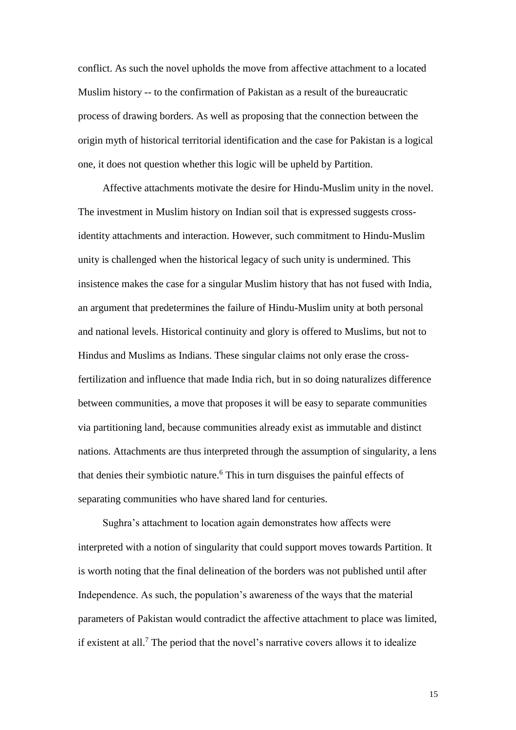conflict. As such the novel upholds the move from affective attachment to a located Muslim history -- to the confirmation of Pakistan as a result of the bureaucratic process of drawing borders. As well as proposing that the connection between the origin myth of historical territorial identification and the case for Pakistan is a logical one, it does not question whether this logic will be upheld by Partition.

Affective attachments motivate the desire for Hindu-Muslim unity in the novel. The investment in Muslim history on Indian soil that is expressed suggests crossidentity attachments and interaction. However, such commitment to Hindu-Muslim unity is challenged when the historical legacy of such unity is undermined. This insistence makes the case for a singular Muslim history that has not fused with India, an argument that predetermines the failure of Hindu-Muslim unity at both personal and national levels. Historical continuity and glory is offered to Muslims, but not to Hindus and Muslims as Indians. These singular claims not only erase the crossfertilization and influence that made India rich, but in so doing naturalizes difference between communities, a move that proposes it will be easy to separate communities via partitioning land, because communities already exist as immutable and distinct nations. Attachments are thus interpreted through the assumption of singularity, a lens that denies their symbiotic nature.<sup>6</sup> This in turn disguises the painful effects of separating communities who have shared land for centuries.

Sughra's attachment to location again demonstrates how affects were interpreted with a notion of singularity that could support moves towards Partition. It is worth noting that the final delineation of the borders was not published until after Independence. As such, the population's awareness of the ways that the material parameters of Pakistan would contradict the affective attachment to place was limited, if existent at all.<sup>7</sup> The period that the novel's narrative covers allows it to idealize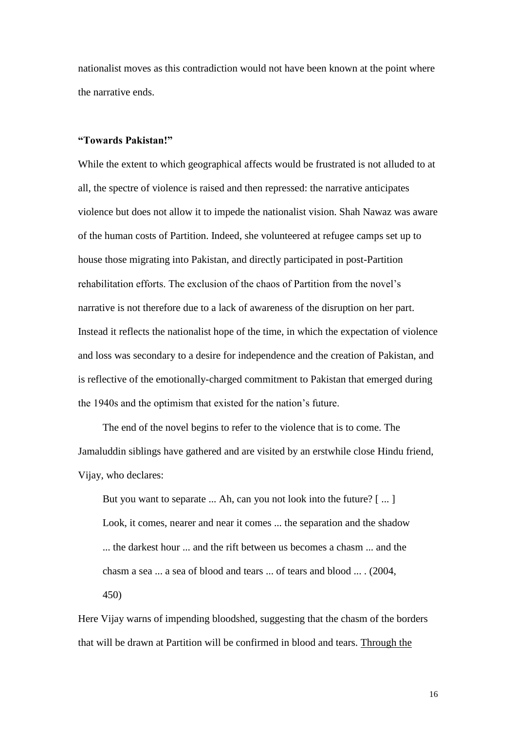nationalist moves as this contradiction would not have been known at the point where the narrative ends.

# **"Towards Pakistan!"**

While the extent to which geographical affects would be frustrated is not alluded to at all, the spectre of violence is raised and then repressed: the narrative anticipates violence but does not allow it to impede the nationalist vision. Shah Nawaz was aware of the human costs of Partition. Indeed, she volunteered at refugee camps set up to house those migrating into Pakistan, and directly participated in post-Partition rehabilitation efforts. The exclusion of the chaos of Partition from the novel's narrative is not therefore due to a lack of awareness of the disruption on her part. Instead it reflects the nationalist hope of the time, in which the expectation of violence and loss was secondary to a desire for independence and the creation of Pakistan, and is reflective of the emotionally-charged commitment to Pakistan that emerged during the 1940s and the optimism that existed for the nation's future.

The end of the novel begins to refer to the violence that is to come. The Jamaluddin siblings have gathered and are visited by an erstwhile close Hindu friend, Vijay, who declares:

But you want to separate ... Ah, can you not look into the future? [...] Look, it comes, nearer and near it comes ... the separation and the shadow ... the darkest hour ... and the rift between us becomes a chasm ... and the chasm a sea ... a sea of blood and tears ... of tears and blood ... . (2004, 450)

Here Vijay warns of impending bloodshed, suggesting that the chasm of the borders that will be drawn at Partition will be confirmed in blood and tears. Through the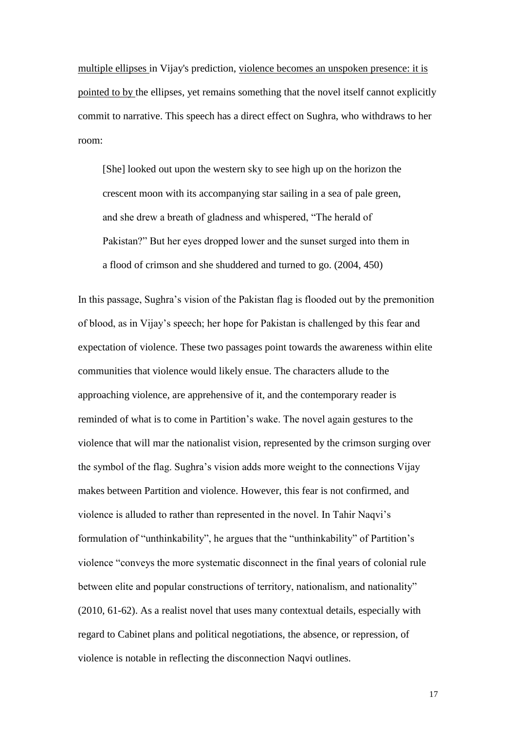multiple ellipses in Vijay's prediction, violence becomes an unspoken presence: it is pointed to by the ellipses, yet remains something that the novel itself cannot explicitly commit to narrative. This speech has a direct effect on Sughra, who withdraws to her room:

[She] looked out upon the western sky to see high up on the horizon the crescent moon with its accompanying star sailing in a sea of pale green, and she drew a breath of gladness and whispered, "The herald of Pakistan?" But her eyes dropped lower and the sunset surged into them in a flood of crimson and she shuddered and turned to go. (2004, 450)

In this passage, Sughra's vision of the Pakistan flag is flooded out by the premonition of blood, as in Vijay's speech; her hope for Pakistan is challenged by this fear and expectation of violence. These two passages point towards the awareness within elite communities that violence would likely ensue. The characters allude to the approaching violence, are apprehensive of it, and the contemporary reader is reminded of what is to come in Partition's wake. The novel again gestures to the violence that will mar the nationalist vision, represented by the crimson surging over the symbol of the flag. Sughra's vision adds more weight to the connections Vijay makes between Partition and violence. However, this fear is not confirmed, and violence is alluded to rather than represented in the novel. In Tahir Naqvi's formulation of "unthinkability", he argues that the "unthinkability" of Partition's violence "conveys the more systematic disconnect in the final years of colonial rule between elite and popular constructions of territory, nationalism, and nationality" (2010, 61-62). As a realist novel that uses many contextual details, especially with regard to Cabinet plans and political negotiations, the absence, or repression, of violence is notable in reflecting the disconnection Naqvi outlines.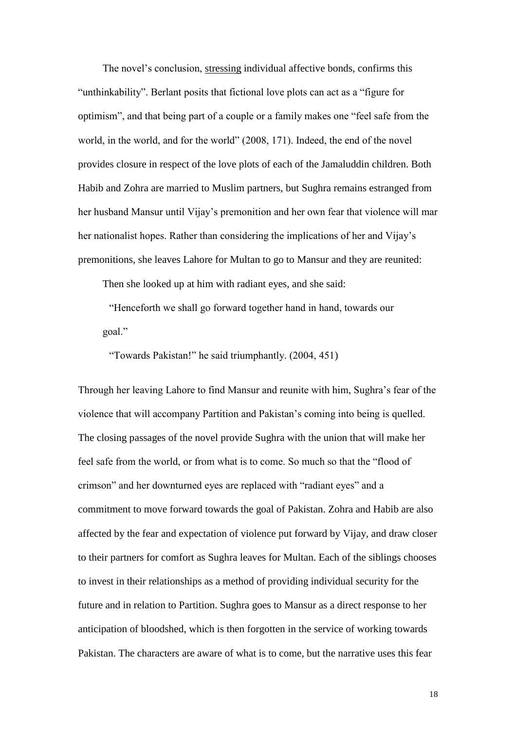The novel's conclusion, stressing individual affective bonds, confirms this "unthinkability". Berlant posits that fictional love plots can act as a "figure for optimism", and that being part of a couple or a family makes one "feel safe from the world, in the world, and for the world" (2008, 171). Indeed, the end of the novel provides closure in respect of the love plots of each of the Jamaluddin children. Both Habib and Zohra are married to Muslim partners, but Sughra remains estranged from her husband Mansur until Vijay's premonition and her own fear that violence will mar her nationalist hopes. Rather than considering the implications of her and Vijay's premonitions, she leaves Lahore for Multan to go to Mansur and they are reunited:

Then she looked up at him with radiant eyes, and she said:

"Henceforth we shall go forward together hand in hand, towards our goal."

"Towards Pakistan!" he said triumphantly. (2004, 451)

Through her leaving Lahore to find Mansur and reunite with him, Sughra's fear of the violence that will accompany Partition and Pakistan's coming into being is quelled. The closing passages of the novel provide Sughra with the union that will make her feel safe from the world, or from what is to come. So much so that the "flood of crimson" and her downturned eyes are replaced with "radiant eyes" and a commitment to move forward towards the goal of Pakistan. Zohra and Habib are also affected by the fear and expectation of violence put forward by Vijay, and draw closer to their partners for comfort as Sughra leaves for Multan. Each of the siblings chooses to invest in their relationships as a method of providing individual security for the future and in relation to Partition. Sughra goes to Mansur as a direct response to her anticipation of bloodshed, which is then forgotten in the service of working towards Pakistan. The characters are aware of what is to come, but the narrative uses this fear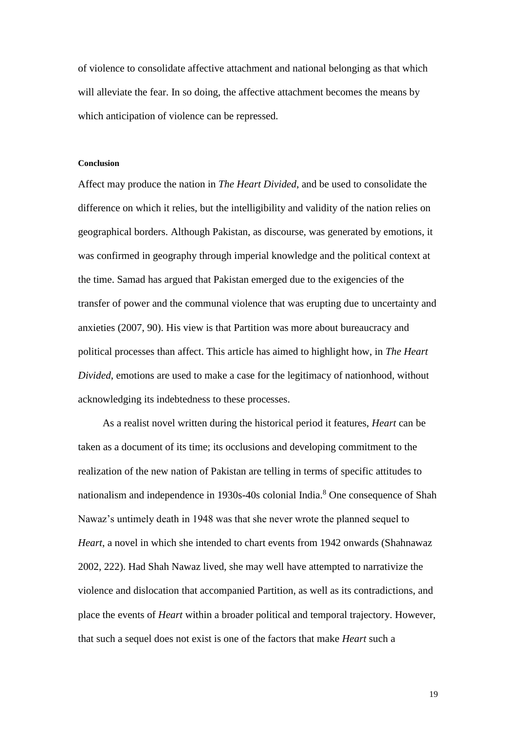of violence to consolidate affective attachment and national belonging as that which will alleviate the fear. In so doing, the affective attachment becomes the means by which anticipation of violence can be repressed.

#### **Conclusion**

Affect may produce the nation in *The Heart Divided*, and be used to consolidate the difference on which it relies, but the intelligibility and validity of the nation relies on geographical borders. Although Pakistan, as discourse, was generated by emotions, it was confirmed in geography through imperial knowledge and the political context at the time. Samad has argued that Pakistan emerged due to the exigencies of the transfer of power and the communal violence that was erupting due to uncertainty and anxieties (2007, 90). His view is that Partition was more about bureaucracy and political processes than affect. This article has aimed to highlight how, in *The Heart Divided*, emotions are used to make a case for the legitimacy of nationhood, without acknowledging its indebtedness to these processes.

As a realist novel written during the historical period it features, *Heart* can be taken as a document of its time; its occlusions and developing commitment to the realization of the new nation of Pakistan are telling in terms of specific attitudes to nationalism and independence in 1930s-40s colonial India.<sup>8</sup> One consequence of Shah Nawaz's untimely death in 1948 was that she never wrote the planned sequel to *Heart*, a novel in which she intended to chart events from 1942 onwards (Shahnawaz 2002, 222). Had Shah Nawaz lived, she may well have attempted to narrativize the violence and dislocation that accompanied Partition, as well as its contradictions, and place the events of *Heart* within a broader political and temporal trajectory. However, that such a sequel does not exist is one of the factors that make *Heart* such a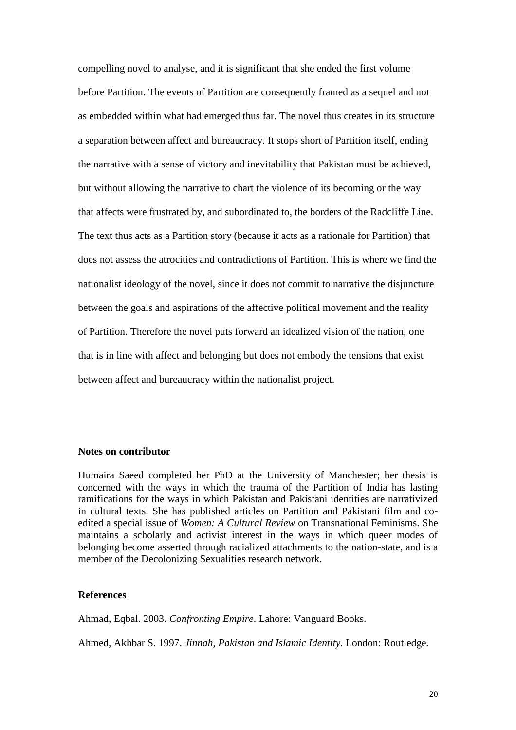compelling novel to analyse, and it is significant that she ended the first volume before Partition. The events of Partition are consequently framed as a sequel and not as embedded within what had emerged thus far. The novel thus creates in its structure a separation between affect and bureaucracy. It stops short of Partition itself, ending the narrative with a sense of victory and inevitability that Pakistan must be achieved, but without allowing the narrative to chart the violence of its becoming or the way that affects were frustrated by, and subordinated to, the borders of the Radcliffe Line. The text thus acts as a Partition story (because it acts as a rationale for Partition) that does not assess the atrocities and contradictions of Partition. This is where we find the nationalist ideology of the novel, since it does not commit to narrative the disjuncture between the goals and aspirations of the affective political movement and the reality of Partition. Therefore the novel puts forward an idealized vision of the nation, one that is in line with affect and belonging but does not embody the tensions that exist between affect and bureaucracy within the nationalist project.

# **Notes on contributor**

Humaira Saeed completed her PhD at the University of Manchester; her thesis is concerned with the ways in which the trauma of the Partition of India has lasting ramifications for the ways in which Pakistan and Pakistani identities are narrativized in cultural texts. She has published articles on Partition and Pakistani film and coedited a special issue of *Women: A Cultural Review* on Transnational Feminisms. She maintains a scholarly and activist interest in the ways in which queer modes of belonging become asserted through racialized attachments to the nation-state, and is a member of the Decolonizing Sexualities research network.

## **References**

Ahmad, Eqbal. 2003. *Confronting Empire*. Lahore: Vanguard Books.

Ahmed, Akhbar S. 1997. *Jinnah, Pakistan and Islamic Identity.* London: Routledge.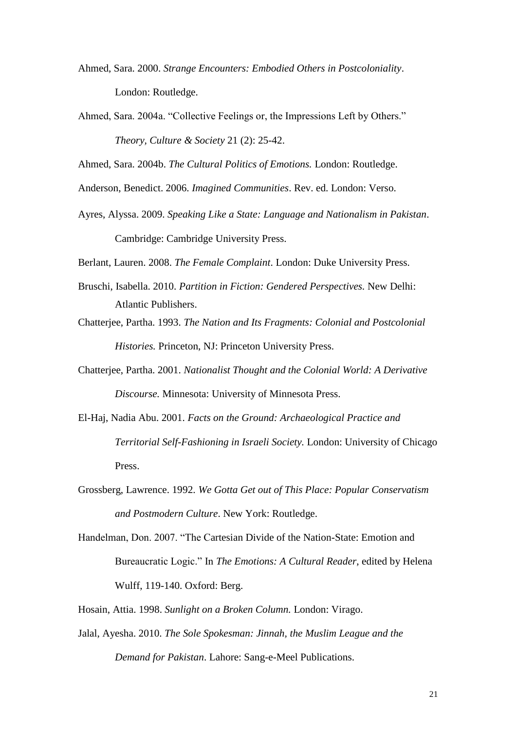- Ahmed, Sara. 2000. *Strange Encounters: Embodied Others in Postcoloniality*. London: Routledge.
- Ahmed, Sara. 2004a. "Collective Feelings or, the Impressions Left by Others." *Theory, Culture & Society* 21 (2): 25-42.

Ahmed, Sara. 2004b. *The Cultural Politics of Emotions.* London: Routledge.

Anderson, Benedict. 2006. *Imagined Communities*. Rev. ed. London: Verso.

Ayres, Alyssa. 2009. *Speaking Like a State: Language and Nationalism in Pakistan*. Cambridge: Cambridge University Press.

Berlant, Lauren. 2008. *The Female Complaint*. London: Duke University Press.

- Bruschi, Isabella. 2010. *Partition in Fiction: Gendered Perspectives.* New Delhi: Atlantic Publishers.
- Chatterjee, Partha. 1993. *The Nation and Its Fragments: Colonial and Postcolonial Histories.* Princeton, NJ: Princeton University Press.
- Chatterjee, Partha. 2001. *Nationalist Thought and the Colonial World: A Derivative Discourse.* Minnesota: University of Minnesota Press.
- El-Haj, Nadia Abu. 2001. *Facts on the Ground: Archaeological Practice and Territorial Self-Fashioning in Israeli Society.* London: University of Chicago Press.
- Grossberg, Lawrence. 1992. *We Gotta Get out of This Place: Popular Conservatism and Postmodern Culture*. New York: Routledge.
- Handelman, Don. 2007. "The Cartesian Divide of the Nation-State: Emotion and Bureaucratic Logic." In *The Emotions: A Cultural Reader*, edited by Helena Wulff, 119-140. Oxford: Berg.
- Hosain, Attia. 1998. *Sunlight on a Broken Column.* London: Virago.
- Jalal, Ayesha. 2010. *The Sole Spokesman: Jinnah, the Muslim League and the Demand for Pakistan*. Lahore: Sang-e-Meel Publications.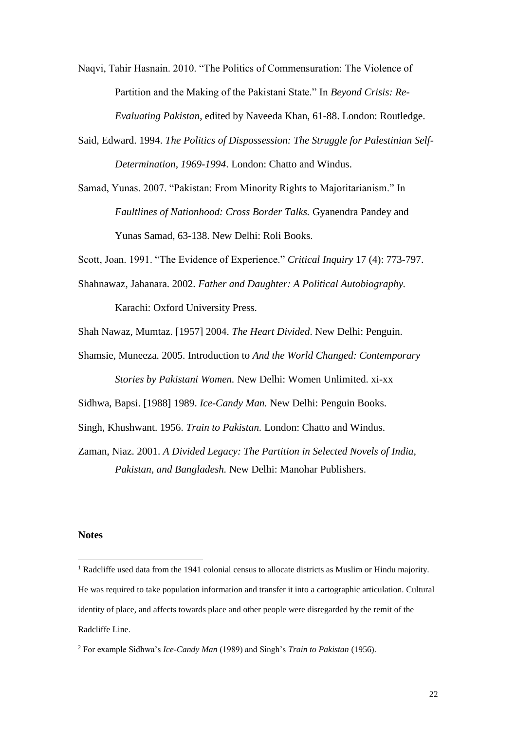Naqvi, Tahir Hasnain. 2010. "The Politics of Commensuration: The Violence of Partition and the Making of the Pakistani State." In *Beyond Crisis: Re-Evaluating Pakistan*, edited by Naveeda Khan, 61-88. London: Routledge.

- Said, Edward. 1994. *The Politics of Dispossession: The Struggle for Palestinian Self-Determination, 1969-1994*. London: Chatto and Windus.
- Samad, Yunas. 2007. "Pakistan: From Minority Rights to Majoritarianism." In *Faultlines of Nationhood: Cross Border Talks.* Gyanendra Pandey and Yunas Samad, 63-138. New Delhi: Roli Books.

Scott, Joan. 1991. "The Evidence of Experience." *Critical Inquiry* 17 (4): 773-797.

- Shahnawaz, Jahanara. 2002. *Father and Daughter: A Political Autobiography.*  Karachi: Oxford University Press.
- Shah Nawaz, Mumtaz. [1957] 2004. *The Heart Divided*. New Delhi: Penguin.
- Shamsie, Muneeza. 2005. Introduction to *And the World Changed: Contemporary Stories by Pakistani Women.* New Delhi: Women Unlimited. xi-xx

Sidhwa, Bapsi. [1988] 1989. *Ice-Candy Man.* New Delhi: Penguin Books.

- Singh, Khushwant. 1956. *Train to Pakistan.* London: Chatto and Windus.
- Zaman, Niaz. 2001. *A Divided Legacy: The Partition in Selected Novels of India, Pakistan, and Bangladesh.* New Delhi: Manohar Publishers.

### **Notes**

 $\overline{a}$ 

<sup>&</sup>lt;sup>1</sup> Radcliffe used data from the 1941 colonial census to allocate districts as Muslim or Hindu majority. He was required to take population information and transfer it into a cartographic articulation. Cultural identity of place, and affects towards place and other people were disregarded by the remit of the Radcliffe Line.

<sup>2</sup> For example Sidhwa's *Ice-Candy Man* (1989) and Singh's *Train to Pakistan* (1956).